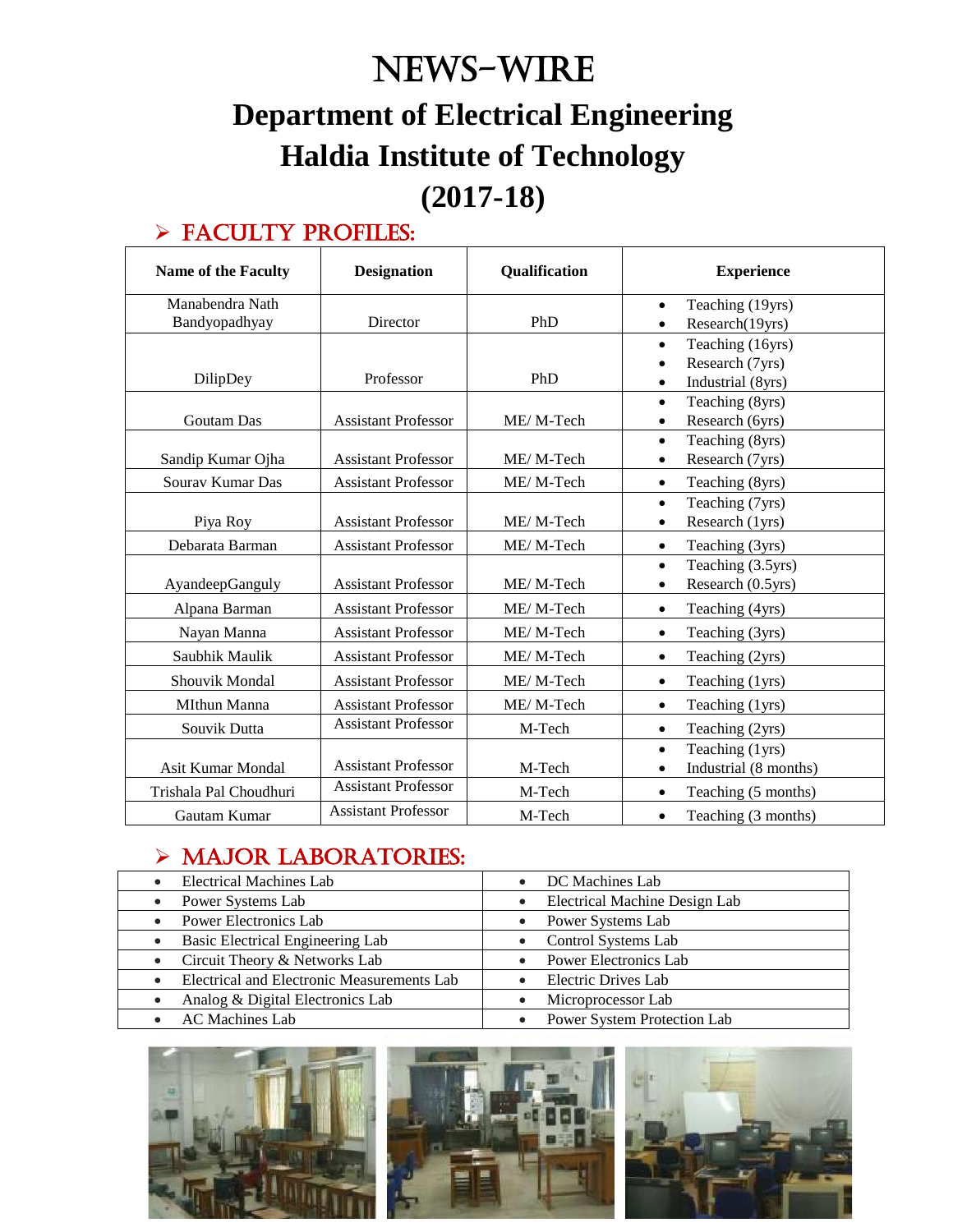# News-WIRE **Department of Electrical Engineering Haldia Institute of Technology (2017-18)**

#### > FACULTY PROFILES:

| <b>Name of the Faculty</b> | <b>Designation</b><br><b>Qualification</b> |           | <b>Experience</b>                |
|----------------------------|--------------------------------------------|-----------|----------------------------------|
| Manabendra Nath            |                                            |           | Teaching (19yrs)<br>$\bullet$    |
| Bandyopadhyay              | Director                                   | PhD       | Research(19yrs)<br>$\bullet$     |
|                            |                                            |           | Teaching (16yrs)<br>$\bullet$    |
|                            |                                            |           | Research (7yrs)                  |
| DilipDey                   | Professor                                  | PhD       | Industrial (8yrs)                |
|                            |                                            |           | Teaching (8yrs)<br>$\bullet$     |
| <b>Goutam Das</b>          | <b>Assistant Professor</b>                 | ME/M-Tech | Research (6yrs)<br>$\bullet$     |
|                            |                                            |           | Teaching (8yrs)<br>$\bullet$     |
| Sandip Kumar Ojha          | <b>Assistant Professor</b>                 | ME/M-Tech | Research (7yrs)                  |
| Sourav Kumar Das           | <b>Assistant Professor</b>                 | ME/M-Tech | Teaching (8yrs)<br>$\bullet$     |
|                            |                                            |           | Teaching (7yrs)<br>$\bullet$     |
| Piya Roy                   | <b>Assistant Professor</b>                 | ME/M-Tech | Research (1yrs)                  |
| Debarata Barman            | <b>Assistant Professor</b>                 | ME/M-Tech | Teaching (3yrs)<br>$\bullet$     |
|                            |                                            |           | Teaching (3.5yrs)<br>$\bullet$   |
| AyandeepGanguly            | <b>Assistant Professor</b>                 | ME/M-Tech | Research (0.5yrs)<br>$\bullet$   |
| Alpana Barman              | <b>Assistant Professor</b>                 | ME/M-Tech | Teaching (4yrs)<br>$\bullet$     |
| Nayan Manna                | <b>Assistant Professor</b>                 | ME/M-Tech | Teaching (3yrs)<br>$\bullet$     |
| Saubhik Maulik             | <b>Assistant Professor</b>                 | ME/M-Tech | Teaching (2yrs)<br>$\bullet$     |
| Shouvik Mondal             | <b>Assistant Professor</b>                 | ME/M-Tech | Teaching (1yrs)<br>$\bullet$     |
| MIthun Manna               | <b>Assistant Professor</b>                 | ME/M-Tech | Teaching (1yrs)<br>$\bullet$     |
| Souvik Dutta               | <b>Assistant Professor</b>                 | M-Tech    | Teaching (2yrs)<br>$\bullet$     |
|                            |                                            |           | Teaching (1yrs)<br>$\bullet$     |
| Asit Kumar Mondal          | <b>Assistant Professor</b>                 | M-Tech    | Industrial (8 months)            |
| Trishala Pal Choudhuri     | <b>Assistant Professor</b>                 | M-Tech    | Teaching (5 months)<br>$\bullet$ |
| Gautam Kumar               | <b>Assistant Professor</b>                 | M-Tech    | Teaching (3 months)<br>$\bullet$ |

#### > MAJOR LABORATORIES:

| Electrical Machines Lab<br>$\bullet$                    | DC Machines Lab               |
|---------------------------------------------------------|-------------------------------|
| Power Systems Lab<br>$\bullet$                          | Electrical Machine Design Lab |
| <b>Power Electronics Lab</b><br>$\bullet$               | Power Systems Lab             |
| Basic Electrical Engineering Lab<br>$\bullet$           | Control Systems Lab           |
| Circuit Theory & Networks Lab<br>$\bullet$              | <b>Power Electronics Lab</b>  |
| Electrical and Electronic Measurements Lab<br>$\bullet$ | Electric Drives Lab           |
| Analog & Digital Electronics Lab<br>$\bullet$           | Microprocessor Lab            |
| <b>AC</b> Machines Lab                                  | Power System Protection Lab   |

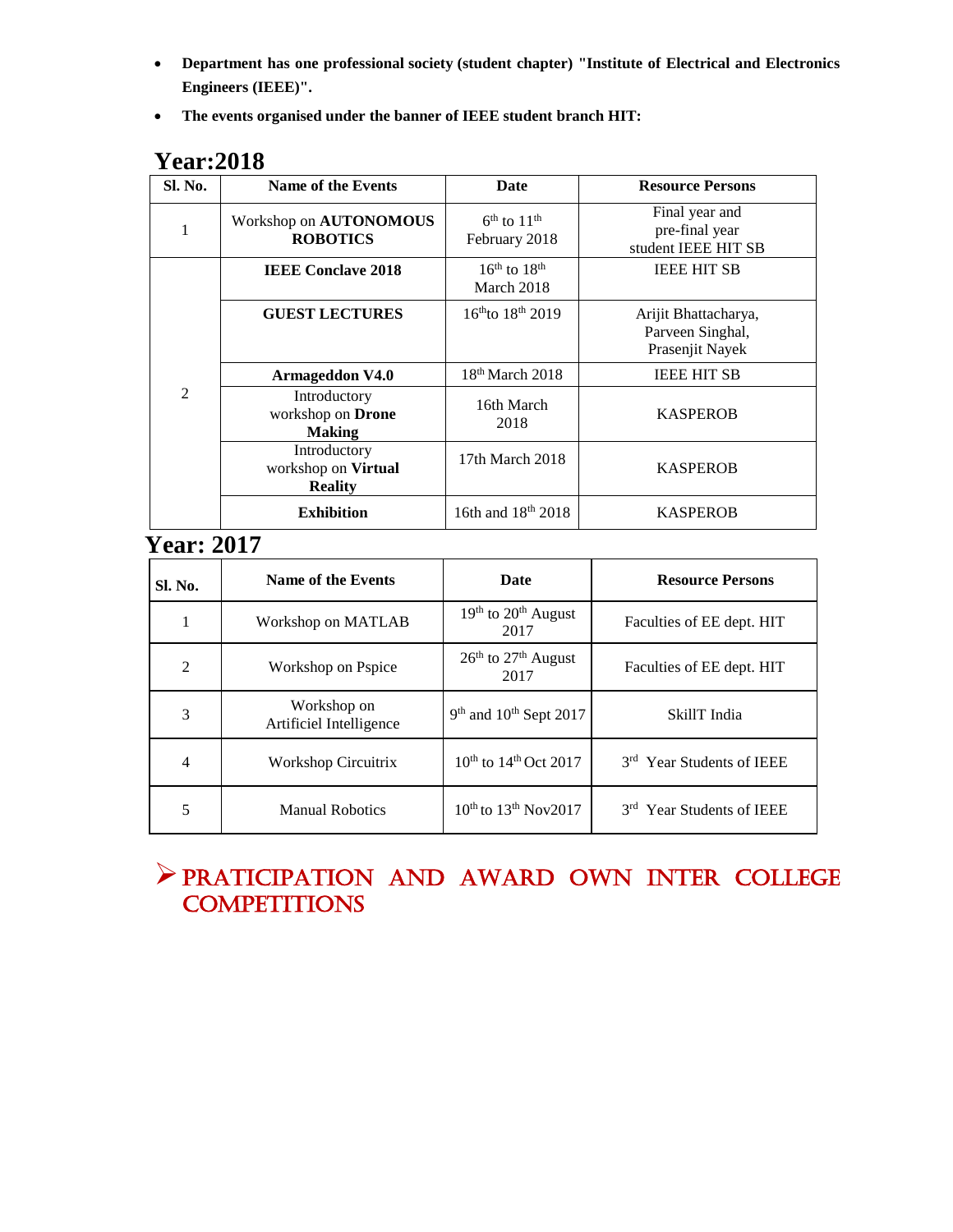- **Department has one professional society (student chapter) "Institute of Electrical and Electronics Engineers (IEEE)".**
- **The events organised under the banner of IEEE student branch HIT:**

| Sl. No.        | Name of the Events                                    | Date                                       | <b>Resource Persons</b>                                     |
|----------------|-------------------------------------------------------|--------------------------------------------|-------------------------------------------------------------|
| 1              | Workshop on AUTONOMOUS<br><b>ROBOTICS</b>             | $6th$ to 11 <sup>th</sup><br>February 2018 | Final year and<br>pre-final year<br>student IEEE HIT SB     |
|                | <b>IEEE Conclave 2018</b>                             | $16th$ to $18th$<br>March 2018             | <b>IEEE HIT SB</b>                                          |
| $\mathfrak{D}$ | <b>GUEST LECTURES</b>                                 | $16^{th}$ to $18^{th}$ 2019                | Arijit Bhattacharya,<br>Parveen Singhal,<br>Prasenjit Nayek |
|                | <b>Armageddon V4.0</b>                                | $18th$ March 2018                          | <b>IEEE HIT SB</b>                                          |
|                | Introductory<br>workshop on Drone<br><b>Making</b>    | 16th March<br>2018                         | <b>KASPEROB</b>                                             |
|                | Introductory<br>workshop on Virtual<br><b>Reality</b> | 17th March 2018                            | <b>KASPEROB</b>                                             |
|                | <b>Exhibition</b>                                     | 16th and $18^{th}$ 2018                    | <b>KASPEROB</b>                                             |

#### **Year:2018**

#### **Year: 2017**

| Sl. No. | Name of the Events                     | Date                                                | <b>Resource Persons</b>               |
|---------|----------------------------------------|-----------------------------------------------------|---------------------------------------|
|         | Workshop on MATLAB                     | 19 <sup>th</sup> to 20 <sup>th</sup> August<br>2017 | Faculties of EE dept. HIT             |
| 2       | Workshop on Pspice                     | $26th$ to $27th$ August<br>2017                     | Faculties of EE dept. HIT             |
| 3       | Workshop on<br>Artificiel Intelligence | $9th$ and $10th$ Sept 2017                          | SkillT India                          |
| 4       | Workshop Circuitrix                    | $10^{th}$ to $14^{th}$ Oct 2017                     | 3 <sup>rd</sup> Year Students of IEEE |
| 5       | <b>Manual Robotics</b>                 | 10 <sup>th</sup> to 13 <sup>th</sup> Nov2017        | 3rd Year Students of IEEE             |

#### PRATICIPATION AND AWARD OWN INTer COLLEGE **COMPETITIONS**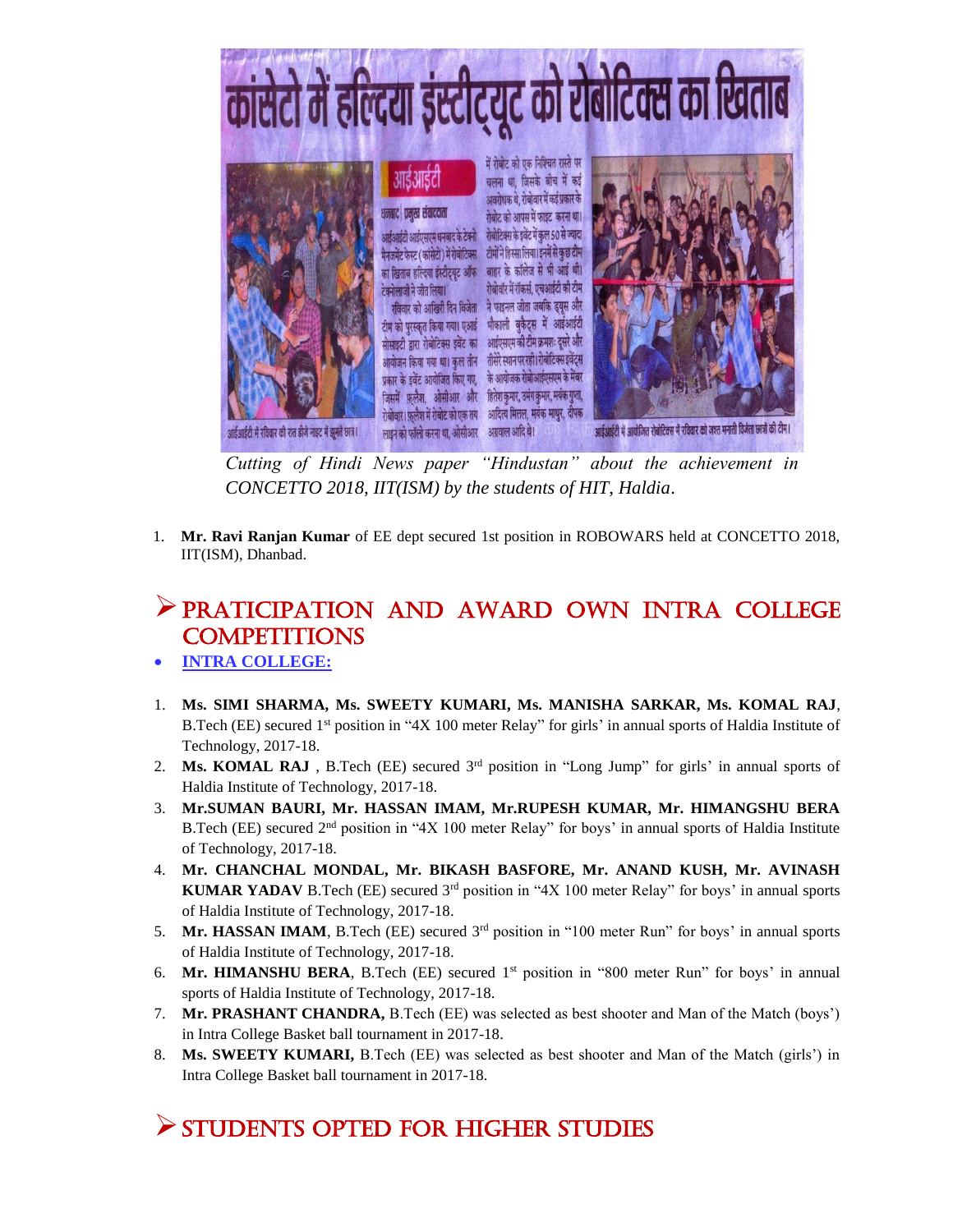

*Cutting of Hindi News paper "Hindustan" about the achievement in CONCETTO 2018, IIT(ISM) by the students of HIT, Haldia*.

1. **Mr. Ravi Ranjan Kumar** of EE dept secured 1st position in ROBOWARS held at CONCETTO 2018, IIT(ISM), Dhanbad.

#### PRATICIPATION AND AWARD OWN INTRA COLLEGE **COMPETITIONS**

- **INTRA COLLEGE:**
- 1. **Ms. SIMI SHARMA, Ms. SWEETY KUMARI, Ms. MANISHA SARKAR, Ms. KOMAL RAJ**, B.Tech (EE) secured 1<sup>st</sup> position in "4X 100 meter Relay" for girls' in annual sports of Haldia Institute of Technology, 2017-18.
- 2. **Ms. KOMAL RAJ** , B.Tech (EE) secured 3rd position in "Long Jump" for girls' in annual sports of Haldia Institute of Technology, 2017-18.
- 3. **Mr.SUMAN BAURI, Mr. HASSAN IMAM, Mr.RUPESH KUMAR, Mr. HIMANGSHU BERA** B.Tech (EE) secured 2nd position in "4X 100 meter Relay" for boys' in annual sports of Haldia Institute of Technology, 2017-18.
- 4. **Mr. CHANCHAL MONDAL, Mr. BIKASH BASFORE, Mr. ANAND KUSH, Mr. AVINASH KUMAR YADAV** B.Tech (EE) secured 3<sup>rd</sup> position in "4X 100 meter Relay" for boys' in annual sports of Haldia Institute of Technology, 2017-18.
- 5. **Mr. HASSAN IMAM**, B.Tech (EE) secured  $3<sup>rd</sup>$  position in "100 meter Run" for boys' in annual sports of Haldia Institute of Technology, 2017-18.
- 6. **Mr. HIMANSHU BERA**, B.Tech (EE) secured 1st position in "800 meter Run" for boys' in annual sports of Haldia Institute of Technology, 2017-18.
- 7. **Mr. PRASHANT CHANDRA,** B.Tech (EE) was selected as best shooter and Man of the Match (boys') in Intra College Basket ball tournament in 2017-18.
- 8. **Ms. SWEETY KUMARI,** B.Tech (EE) was selected as best shooter and Man of the Match (girls') in Intra College Basket ball tournament in 2017-18.

#### STUDENTS OPTED FOR HIGHER STUDIES